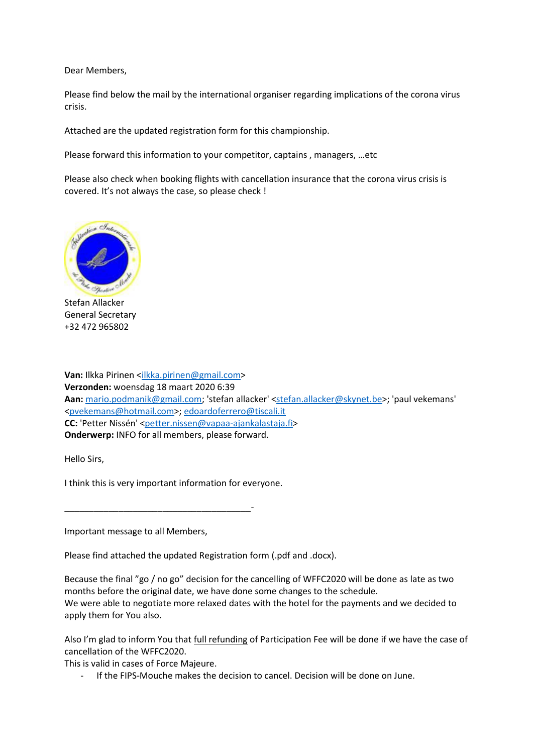Dear Members,

Please find below the mail by the international organiser regarding implications of the corona virus crisis.

Attached are the updated registration form for this championship.

Please forward this information to your competitor, captains , managers, …etc

Please also check when booking flights with cancellation insurance that the corona virus crisis is covered. It's not always the case, so please check !



Stefan Allacker General Secretary +32 472 965802

Van: Ilkka Pirinen [<ilkka.pirinen@gmail.com>](mailto:ilkka.pirinen@gmail.com) **Verzonden:** woensdag 18 maart 2020 6:39 Aan: [mario.podmanik@gmail.com;](mailto:mario.podmanik@gmail.com) 'stefan allacker' [<stefan.allacker@skynet.be>](mailto:stefan.allacker@skynet.be); 'paul vekemans' [<pvekemans@hotmail.com>](mailto:pvekemans@hotmail.com)[; edoardoferrero@tiscali.it](mailto:edoardoferrero@tiscali.it) **CC:** 'Petter Nissén' [<petter.nissen@vapaa-ajankalastaja.fi>](mailto:petter.nissen@vapaa-ajankalastaja.fi) **Onderwerp:** INFO for all members, please forward.

Hello Sirs,

I think this is very important information for everyone.

\_\_\_\_\_\_\_\_\_\_\_\_\_\_\_\_\_\_\_\_\_\_\_\_\_\_\_\_\_\_\_\_\_\_\_\_\_\_-

Important message to all Members,

Please find attached the updated Registration form (.pdf and .docx).

Because the final "go / no go" decision for the cancelling of WFFC2020 will be done as late as two months before the original date, we have done some changes to the schedule. We were able to negotiate more relaxed dates with the hotel for the payments and we decided to apply them for You also.

Also I'm glad to inform You that full refunding of Participation Fee will be done if we have the case of cancellation of the WFFC2020.

This is valid in cases of Force Majeure.

- If the FIPS-Mouche makes the decision to cancel. Decision will be done on June.